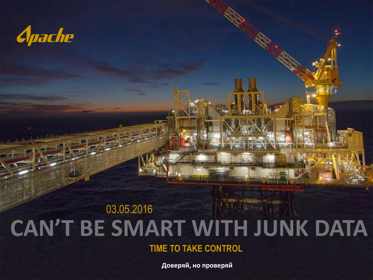

# 03.05.2016 CAN'T BE SMART WITH JUNK DATA

**TIME TO TAKE CONTROL**

**Доверяй, но проверяй**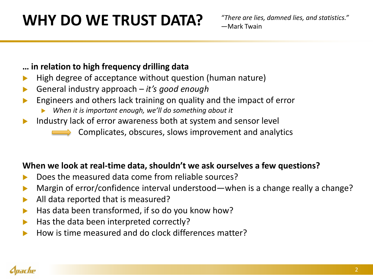## **WHY DO WE TRUST DATA?**

#### **… in relation to high frequency drilling data**

- High degree of acceptance without question (human nature)
- General industry approach *it's good enough*
- Engineers and others lack training on quality and the impact of error
	- *When it is important enough, we'll do something about it*
- Industry lack of error awareness both at system and sensor level
	- Complicates, obscures, slows improvement and analytics

#### **When we look at real-time data, shouldn't we ask ourselves a few questions?**

- Does the measured data come from reliable sources?
- Margin of error/confidence interval understood—when is a change really a change?
- All data reported that is measured?
- Has data been transformed, if so do you know how?
- Has the data been interpreted correctly?
- How is time measured and do clock differences matter?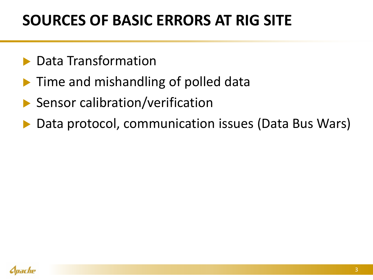### **SOURCES OF BASIC ERRORS AT RIG SITE**

- Data Transformation
- **Time and mishandling of polled data**
- ▶ Sensor calibration/verification
- ▶ Data protocol, communication issues (Data Bus Wars)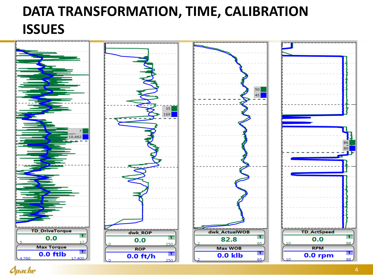### **DATA TRANSFORMATION, TIME, CALIBRATION ISSUES**



*Apache*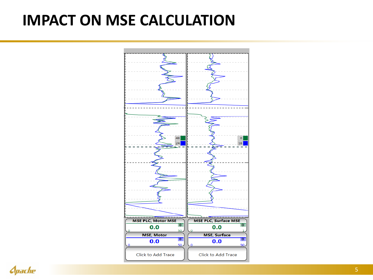### **IMPACT ON MSE CALCULATION**



*Cpache*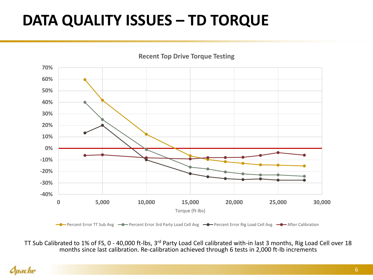## **DATA QUALITY ISSUES – TD TORQUE**



TT Sub Calibrated to 1% of FS, 0 - 40,000 ft-lbs, 3<sup>rd</sup> Party Load Cell calibrated with-in last 3 months, Rig Load Cell over 18 months since last calibration. Re-calibration achieved through 6 tests in 2,000 ft-lb increments

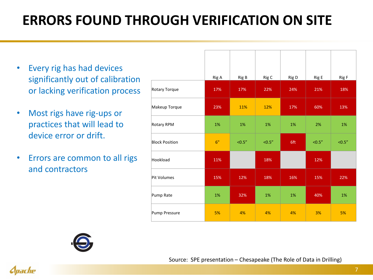### **ERRORS FOUND THROUGH VERIFICATION ON SITE**

- Every rig has had devices significantly out of calibration or lacking verification process
- Most rigs have rig-ups or practices that will lead to device error or drift.
- Errors are common to all rigs and contractors

|                       | Rig A | Rig B   | Rig C  | Rig D | Rig E   | Rig F  |
|-----------------------|-------|---------|--------|-------|---------|--------|
| Rotary Torque         | 17%   | 17%     | 22%    | 24%   | 21%     | 18%    |
| Makeup Torque         | 23%   | 11%     | 12%    | 17%   | 60%     | 13%    |
| Rotary RPM            | 1%    | 1%      | 1%     | 1%    | 2%      | 1%     |
| <b>Block Position</b> | 6"    | < 0.5'' | < 0.5" | 6ft   | < 0.5'' | < 0.5" |
| Hookload              | 11%   |         | 18%    |       | 12%     |        |
| Pit Volumes           | 15%   | 12%     | 18%    | 16%   | 15%     | 22%    |
| Pump Rate             | 1%    | 32%     | 1%     | 1%    | 40%     | 1%     |
| Pump Pressure         | 5%    | 4%      | 4%     | 4%    | 3%      | 5%     |

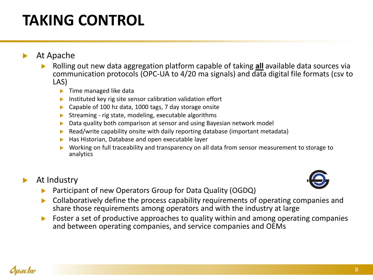## **TAKING CONTROL**

#### At Apache

- Rolling out new data aggregation platform capable of taking **all** available data sources via communication protocols (OPC-UA to 4/20 ma signals) and data digital file formats (csv to LAS)
	- Time managed like data
	- Instituted key rig site sensor calibration validation effort
	- Capable of 100 hz data, 1000 tags, 7 day storage onsite
	- Streaming rig state, modeling, executable algorithms
	- Data quality both comparison at sensor and using Bayesian network model
	- Read/write capability onsite with daily reporting database (important metadata)
	- Has Historian, Database and open executable layer
	- Working on full traceability and transparency on all data from sensor measurement to storage to analytics

#### At Industry



- Participant of new Operators Group for Data Quality (OGDQ)
- Collaboratively define the process capability requirements of operating companies and share those requirements among operators and with the industry at large
- ▶ Foster a set of productive approaches to quality within and among operating companies and between operating companies, and service companies and OEMs